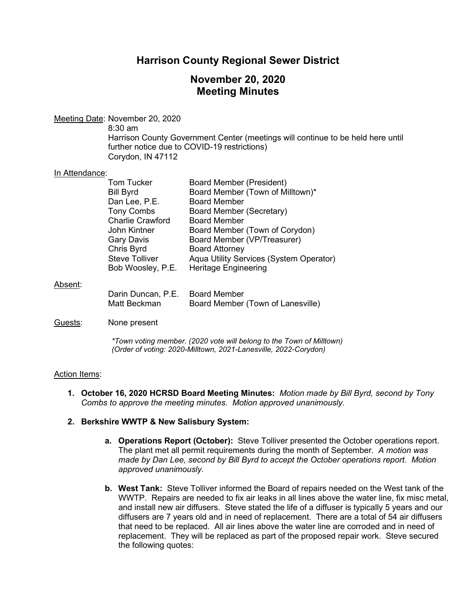# **Harrison County Regional Sewer District**

## **November 20, 2020 Meeting Minutes**

Meeting Date: November 20, 2020

8:30 am Harrison County Government Center (meetings will continue to be held here until further notice due to COVID-19 restrictions) Corydon, IN 47112

#### In Attendance:

|         | <b>Tom Tucker</b>       | <b>Board Member (President)</b>         |
|---------|-------------------------|-----------------------------------------|
|         | <b>Bill Byrd</b>        | Board Member (Town of Milltown)*        |
|         | Dan Lee, P.E.           | <b>Board Member</b>                     |
|         | <b>Tony Combs</b>       | Board Member (Secretary)                |
|         | <b>Charlie Crawford</b> | <b>Board Member</b>                     |
|         | John Kintner            | Board Member (Town of Corydon)          |
|         | Gary Davis              | Board Member (VP/Treasurer)             |
|         | Chris Byrd              | <b>Board Attorney</b>                   |
|         | <b>Steve Tolliver</b>   | Aqua Utility Services (System Operator) |
|         | Bob Woosley, P.E.       | <b>Heritage Engineering</b>             |
| Absent: |                         |                                         |
|         | Darin Duncan, P.E.      | <b>Board Member</b>                     |
|         | Matt Beckman            | Board Member (Town of Lanesville)       |

#### Guests: None present

*\*Town voting member. (2020 vote will belong to the Town of Milltown) (Order of voting: 2020-Milltown, 2021-Lanesville, 2022-Corydon)* 

## Action Items:

**1. October 16, 2020 HCRSD Board Meeting Minutes:** *Motion made by Bill Byrd, second by Tony Combs to approve the meeting minutes. Motion approved unanimously.*

## **2. Berkshire WWTP & New Salisbury System:**

- **a. Operations Report (October):** Steve Tolliver presented the October operations report. The plant met all permit requirements during the month of September. *A motion was made by Dan Lee, second by Bill Byrd to accept the October operations report. Motion approved unanimously.*
- **b. West Tank:** Steve Tolliver informed the Board of repairs needed on the West tank of the WWTP. Repairs are needed to fix air leaks in all lines above the water line, fix misc metal, and install new air diffusers. Steve stated the life of a diffuser is typically 5 years and our diffusers are 7 years old and in need of replacement. There are a total of 54 air diffusers that need to be replaced. All air lines above the water line are corroded and in need of replacement. They will be replaced as part of the proposed repair work. Steve secured the following quotes: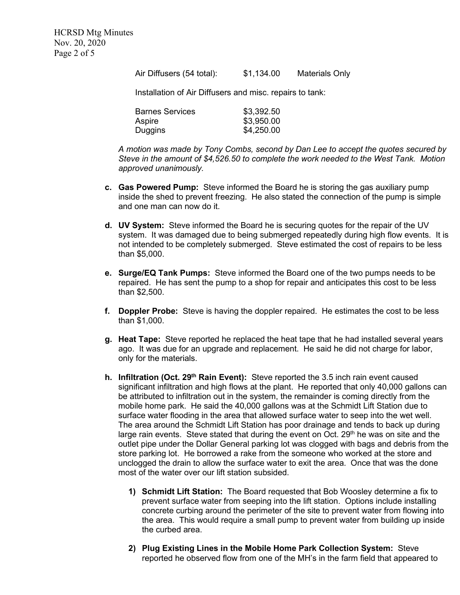HCRSD Mtg Minutes Nov. 20, 2020 Page 2 of 5

Air Diffusers (54 total): \$1,134.00 Materials Only

Installation of Air Diffusers and misc. repairs to tank:

| <b>Barnes Services</b> | \$3,392.50 |
|------------------------|------------|
| Aspire                 | \$3,950.00 |
| Duggins                | \$4,250.00 |

*A motion was made by Tony Combs, second by Dan Lee to accept the quotes secured by Steve in the amount of \$4,526.50 to complete the work needed to the West Tank. Motion approved unanimously.*

- **c. Gas Powered Pump:** Steve informed the Board he is storing the gas auxiliary pump inside the shed to prevent freezing. He also stated the connection of the pump is simple and one man can now do it.
- **d. UV System:** Steve informed the Board he is securing quotes for the repair of the UV system. It was damaged due to being submerged repeatedly during high flow events. It is not intended to be completely submerged. Steve estimated the cost of repairs to be less than \$5,000.
- **e. Surge/EQ Tank Pumps:** Steve informed the Board one of the two pumps needs to be repaired. He has sent the pump to a shop for repair and anticipates this cost to be less than \$2,500.
- **f. Doppler Probe:** Steve is having the doppler repaired. He estimates the cost to be less than \$1,000.
- **g. Heat Tape:** Steve reported he replaced the heat tape that he had installed several years ago. It was due for an upgrade and replacement. He said he did not charge for labor, only for the materials.
- **h. Infiltration (Oct. 29th Rain Event):** Steve reported the 3.5 inch rain event caused significant infiltration and high flows at the plant. He reported that only 40,000 gallons can be attributed to infiltration out in the system, the remainder is coming directly from the mobile home park. He said the 40,000 gallons was at the Schmidt Lift Station due to surface water flooding in the area that allowed surface water to seep into the wet well. The area around the Schmidt Lift Station has poor drainage and tends to back up during large rain events. Steve stated that during the event on Oct.  $29<sup>th</sup>$  he was on site and the outlet pipe under the Dollar General parking lot was clogged with bags and debris from the store parking lot. He borrowed a rake from the someone who worked at the store and unclogged the drain to allow the surface water to exit the area. Once that was the done most of the water over our lift station subsided.
	- **1) Schmidt Lift Station:** The Board requested that Bob Woosley determine a fix to prevent surface water from seeping into the lift station. Options include installing concrete curbing around the perimeter of the site to prevent water from flowing into the area. This would require a small pump to prevent water from building up inside the curbed area.
	- **2) Plug Existing Lines in the Mobile Home Park Collection System:** Steve reported he observed flow from one of the MH's in the farm field that appeared to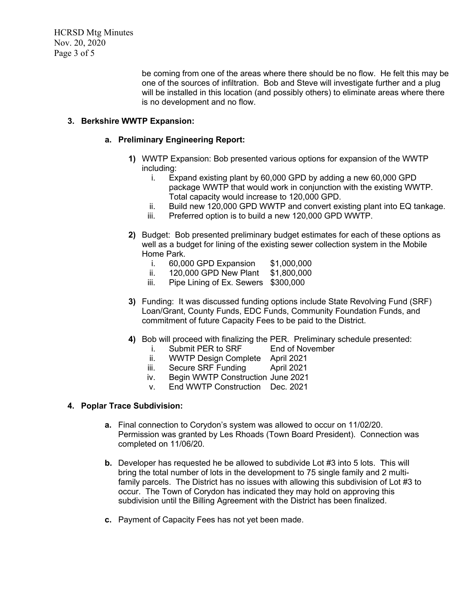HCRSD Mtg Minutes Nov. 20, 2020 Page 3 of 5

> be coming from one of the areas where there should be no flow. He felt this may be one of the sources of infiltration. Bob and Steve will investigate further and a plug will be installed in this location (and possibly others) to eliminate areas where there is no development and no flow.

## **3. Berkshire WWTP Expansion:**

#### **a. Preliminary Engineering Report:**

- **1)** WWTP Expansion: Bob presented various options for expansion of the WWTP including:
	- i. Expand existing plant by 60,000 GPD by adding a new 60,000 GPD package WWTP that would work in conjunction with the existing WWTP. Total capacity would increase to 120,000 GPD.
	- ii. Build new 120,000 GPD WWTP and convert existing plant into EQ tankage.
	- iii. Preferred option is to build a new 120,000 GPD WWTP.
- **2)** Budget: Bob presented preliminary budget estimates for each of these options as well as a budget for lining of the existing sewer collection system in the Mobile Home Park.
	-
	- i. 60,000 GPD Expansion \$1,000,000<br>ii. 120,000 GPD New Plant \$1,800,000 ii.  $120,000$  GPD New Plant
	- iii. Pipe Lining of Ex. Sewers \$300,000
- **3)** Funding: It was discussed funding options include State Revolving Fund (SRF) Loan/Grant, County Funds, EDC Funds, Community Foundation Funds, and commitment of future Capacity Fees to be paid to the District.
- **4)** Bob will proceed with finalizing the PER. Preliminary schedule presented:
	- i. Submit PER to SRF
	- ii. WWTP Design Complete April 2021
	- iii. Secure SRF Funding April 2021
	- iv. Begin WWTP Construction June 2021
	- v. End WWTP Construction Dec. 2021

#### **4. Poplar Trace Subdivision:**

- **a.** Final connection to Corydon's system was allowed to occur on 11/02/20. Permission was granted by Les Rhoads (Town Board President). Connection was completed on 11/06/20.
- **b.** Developer has requested he be allowed to subdivide Lot #3 into 5 lots. This will bring the total number of lots in the development to 75 single family and 2 multifamily parcels. The District has no issues with allowing this subdivision of Lot #3 to occur. The Town of Corydon has indicated they may hold on approving this subdivision until the Billing Agreement with the District has been finalized.
- **c.** Payment of Capacity Fees has not yet been made.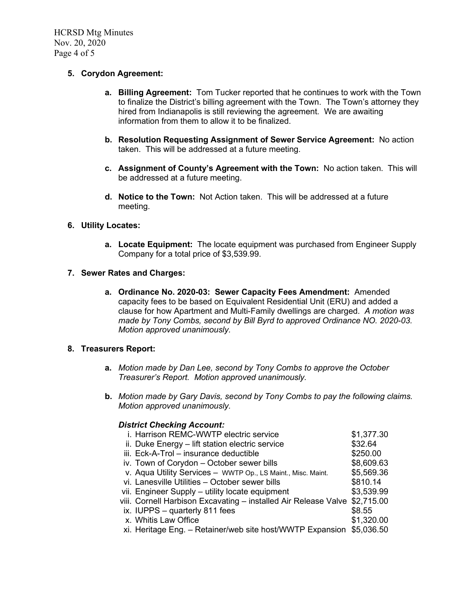HCRSD Mtg Minutes Nov. 20, 2020 Page 4 of 5

## **5. Corydon Agreement:**

- **a. Billing Agreement:** Tom Tucker reported that he continues to work with the Town to finalize the District's billing agreement with the Town. The Town's attorney they hired from Indianapolis is still reviewing the agreement. We are awaiting information from them to allow it to be finalized.
- **b. Resolution Requesting Assignment of Sewer Service Agreement:** No action taken. This will be addressed at a future meeting.
- **c. Assignment of County's Agreement with the Town:** No action taken. This will be addressed at a future meeting.
- **d. Notice to the Town:** Not Action taken. This will be addressed at a future meeting.

## **6. Utility Locates:**

**a. Locate Equipment:** The locate equipment was purchased from Engineer Supply Company for a total price of \$3,539.99.

## **7. Sewer Rates and Charges:**

**a. Ordinance No. 2020-03: Sewer Capacity Fees Amendment:** Amended capacity fees to be based on Equivalent Residential Unit (ERU) and added a clause for how Apartment and Multi-Family dwellings are charged. *A motion was made by Tony Combs, second by Bill Byrd to approved Ordinance NO. 2020-03. Motion approved unanimously.*

#### **8. Treasurers Report:**

- **a.** *Motion made by Dan Lee, second by Tony Combs to approve the October Treasurer's Report. Motion approved unanimously.*
- **b.** *Motion made by Gary Davis, second by Tony Combs to pay the following claims. Motion approved unanimously.*

## *District Checking Account:*

| i. Harrison REMC-WWTP electric service                                     | \$1,377.30 |
|----------------------------------------------------------------------------|------------|
| ii. Duke Energy - lift station electric service                            | \$32.64    |
| iii. Eck-A-Trol - insurance deductible                                     | \$250.00   |
| iv. Town of Corydon - October sewer bills                                  | \$8,609.63 |
| v. Aqua Utility Services - WWTP Op., LS Maint., Misc. Maint.               | \$5,569.36 |
| vi. Lanesville Utilities - October sewer bills                             | \$810.14   |
| vii. Engineer Supply - utility locate equipment                            | \$3,539.99 |
| viii. Cornell Harbison Excavating - installed Air Release Valve \$2,715.00 |            |
| ix. IUPPS $-$ quarterly 811 fees                                           | \$8.55     |
| x. Whitis Law Office                                                       | \$1,320.00 |
| xi. Heritage Eng. - Retainer/web site host/WWTP Expansion \$5,036.50       |            |
|                                                                            |            |